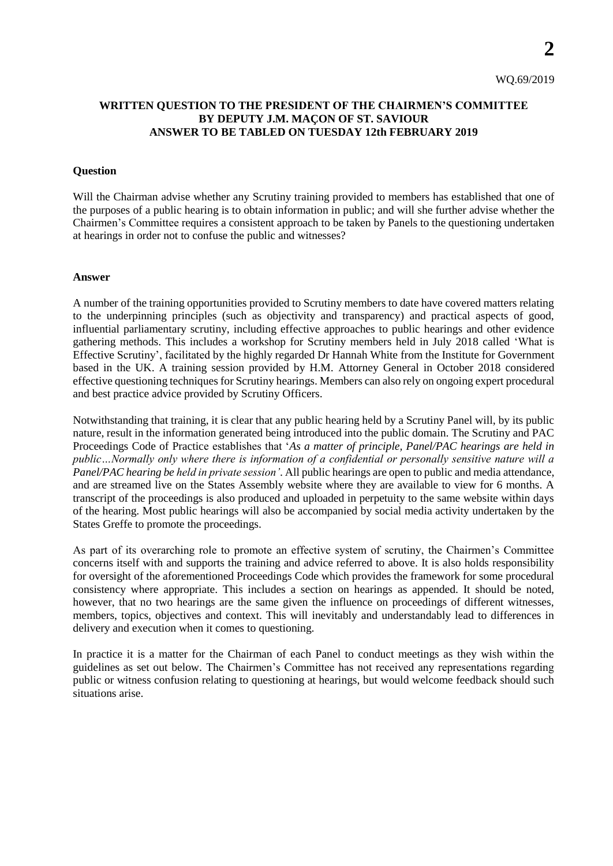**2**

## **WRITTEN QUESTION TO THE PRESIDENT OF THE CHAIRMEN'S COMMITTEE BY DEPUTY J.M. MAÇON OF ST. SAVIOUR ANSWER TO BE TABLED ON TUESDAY 12th FEBRUARY 2019**

## **Question**

Will the Chairman advise whether any Scrutiny training provided to members has established that one of the purposes of a public hearing is to obtain information in public; and will she further advise whether the Chairmen's Committee requires a consistent approach to be taken by Panels to the questioning undertaken at hearings in order not to confuse the public and witnesses?

## **Answer**

A number of the training opportunities provided to Scrutiny members to date have covered matters relating to the underpinning principles (such as objectivity and transparency) and practical aspects of good, influential parliamentary scrutiny, including effective approaches to public hearings and other evidence gathering methods. This includes a workshop for Scrutiny members held in July 2018 called 'What is Effective Scrutiny', facilitated by the highly regarded Dr Hannah White from the Institute for Government based in the UK. A training session provided by H.M. Attorney General in October 2018 considered effective questioning techniquesfor Scrutiny hearings. Members can also rely on ongoing expert procedural and best practice advice provided by Scrutiny Officers.

Notwithstanding that training, it is clear that any public hearing held by a Scrutiny Panel will, by its public nature, result in the information generated being introduced into the public domain. The Scrutiny and PAC Proceedings Code of Practice establishes that '*As a matter of principle, Panel/PAC hearings are held in public…Normally only where there is information of a confidential or personally sensitive nature will a Panel/PAC hearing be held in private session'*. All public hearings are open to public and media attendance, and are streamed live on the States Assembly website where they are available to view for 6 months. A transcript of the proceedings is also produced and uploaded in perpetuity to the same website within days of the hearing. Most public hearings will also be accompanied by social media activity undertaken by the States Greffe to promote the proceedings.

As part of its overarching role to promote an effective system of scrutiny, the Chairmen's Committee concerns itself with and supports the training and advice referred to above. It is also holds responsibility for oversight of the aforementioned Proceedings Code which provides the framework for some procedural consistency where appropriate. This includes a section on hearings as appended. It should be noted, however, that no two hearings are the same given the influence on proceedings of different witnesses, members, topics, objectives and context. This will inevitably and understandably lead to differences in delivery and execution when it comes to questioning.

In practice it is a matter for the Chairman of each Panel to conduct meetings as they wish within the guidelines as set out below. The Chairmen's Committee has not received any representations regarding public or witness confusion relating to questioning at hearings, but would welcome feedback should such situations arise.